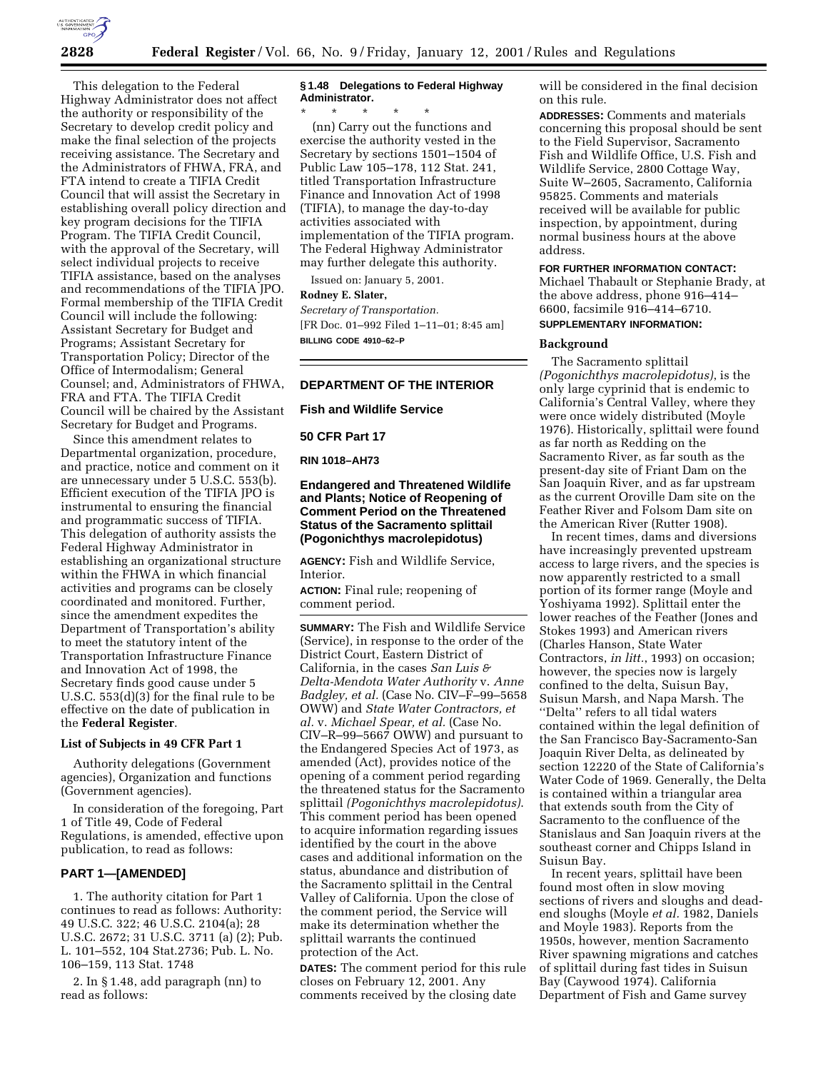

This delegation to the Federal Highway Administrator does not affect the authority or responsibility of the Secretary to develop credit policy and make the final selection of the projects receiving assistance. The Secretary and the Administrators of FHWA, FRA, and FTA intend to create a TIFIA Credit Council that will assist the Secretary in establishing overall policy direction and key program decisions for the TIFIA Program. The TIFIA Credit Council, with the approval of the Secretary, will select individual projects to receive TIFIA assistance, based on the analyses and recommendations of the TIFIA JPO. Formal membership of the TIFIA Credit Council will include the following: Assistant Secretary for Budget and Programs; Assistant Secretary for Transportation Policy; Director of the Office of Intermodalism; General Counsel; and, Administrators of FHWA, FRA and FTA. The TIFIA Credit Council will be chaired by the Assistant Secretary for Budget and Programs.

Since this amendment relates to Departmental organization, procedure, and practice, notice and comment on it are unnecessary under 5 U.S.C. 553(b). Efficient execution of the TIFIA JPO is instrumental to ensuring the financial and programmatic success of TIFIA. This delegation of authority assists the Federal Highway Administrator in establishing an organizational structure within the FHWA in which financial activities and programs can be closely coordinated and monitored. Further, since the amendment expedites the Department of Transportation's ability to meet the statutory intent of the Transportation Infrastructure Finance and Innovation Act of 1998, the Secretary finds good cause under 5 U.S.C. 553(d)(3) for the final rule to be effective on the date of publication in the **Federal Register**.

# **List of Subjects in 49 CFR Part 1**

Authority delegations (Government agencies), Organization and functions (Government agencies).

In consideration of the foregoing, Part 1 of Title 49, Code of Federal Regulations, is amended, effective upon publication, to read as follows:

## **PART 1—[AMENDED]**

1. The authority citation for Part 1 continues to read as follows: Authority: 49 U.S.C. 322; 46 U.S.C. 2104(a); 28 U.S.C. 2672; 31 U.S.C. 3711 (a) (2); Pub. L. 101–552, 104 Stat.2736; Pub. L. No. 106–159, 113 Stat. 1748

2. In § 1.48, add paragraph (nn) to read as follows:

# **§ 1.48 Delegations to Federal Highway Administrator.**

\* \* \* \* \* (nn) Carry out the functions and exercise the authority vested in the Secretary by sections 1501–1504 of Public Law 105–178, 112 Stat. 241, titled Transportation Infrastructure Finance and Innovation Act of 1998 (TIFIA), to manage the day-to-day activities associated with implementation of the TIFIA program. The Federal Highway Administrator may further delegate this authority.

Issued on: January 5, 2001.

## **Rodney E. Slater,**

*Secretary of Transportation.* [FR Doc. 01–992 Filed 1–11–01; 8:45 am] **BILLING CODE 4910–62–P**

# **DEPARTMENT OF THE INTERIOR**

**Fish and Wildlife Service**

## **50 CFR Part 17**

**RIN 1018–AH73**

# **Endangered and Threatened Wildlife and Plants; Notice of Reopening of Comment Period on the Threatened Status of the Sacramento splittail (Pogonichthys macrolepidotus)**

**AGENCY:** Fish and Wildlife Service, Interior.

**ACTION:** Final rule; reopening of comment period.

**SUMMARY:** The Fish and Wildlife Service (Service), in response to the order of the District Court, Eastern District of California, in the cases *San Luis & Delta-Mendota Water Authority* v. *Anne Badgley, et al.* (Case No. CIV–F–99–5658 OWW) and *State Water Contractors, et al.* v. *Michael Spear, et al.* (Case No. CIV–R–99–5667 OWW) and pursuant to the Endangered Species Act of 1973, as amended (Act), provides notice of the opening of a comment period regarding the threatened status for the Sacramento splittail *(Pogonichthys macrolepidotus)*. This comment period has been opened to acquire information regarding issues identified by the court in the above cases and additional information on the status, abundance and distribution of the Sacramento splittail in the Central Valley of California. Upon the close of the comment period, the Service will make its determination whether the splittail warrants the continued protection of the Act.

**DATES:** The comment period for this rule closes on February 12, 2001. Any comments received by the closing date

will be considered in the final decision on this rule.

**ADDRESSES:** Comments and materials concerning this proposal should be sent to the Field Supervisor, Sacramento Fish and Wildlife Office, U.S. Fish and Wildlife Service, 2800 Cottage Way, Suite W–2605, Sacramento, California 95825. Comments and materials received will be available for public inspection, by appointment, during normal business hours at the above address.

# **FOR FURTHER INFORMATION CONTACT:** Michael Thabault or Stephanie Brady, at the above address, phone 916–414– 6600, facsimile 916–414–6710. **SUPPLEMENTARY INFORMATION:**

#### **Background**

The Sacramento splittail *(Pogonichthys macrolepidotus)*, is the only large cyprinid that is endemic to California's Central Valley, where they were once widely distributed (Moyle 1976). Historically, splittail were found as far north as Redding on the Sacramento River, as far south as the present-day site of Friant Dam on the San Joaquin River, and as far upstream as the current Oroville Dam site on the Feather River and Folsom Dam site on the American River (Rutter 1908).

In recent times, dams and diversions have increasingly prevented upstream access to large rivers, and the species is now apparently restricted to a small portion of its former range (Moyle and Yoshiyama 1992). Splittail enter the lower reaches of the Feather (Jones and Stokes 1993) and American rivers (Charles Hanson, State Water Contractors, *in litt.*, 1993) on occasion; however, the species now is largely confined to the delta, Suisun Bay, Suisun Marsh, and Napa Marsh. The ''Delta'' refers to all tidal waters contained within the legal definition of the San Francisco Bay-Sacramento-San Joaquin River Delta, as delineated by section 12220 of the State of California's Water Code of 1969. Generally, the Delta is contained within a triangular area that extends south from the City of Sacramento to the confluence of the Stanislaus and San Joaquin rivers at the southeast corner and Chipps Island in Suisun Bay.

In recent years, splittail have been found most often in slow moving sections of rivers and sloughs and deadend sloughs (Moyle *et al.* 1982, Daniels and Moyle 1983). Reports from the 1950s, however, mention Sacramento River spawning migrations and catches of splittail during fast tides in Suisun Bay (Caywood 1974). California Department of Fish and Game survey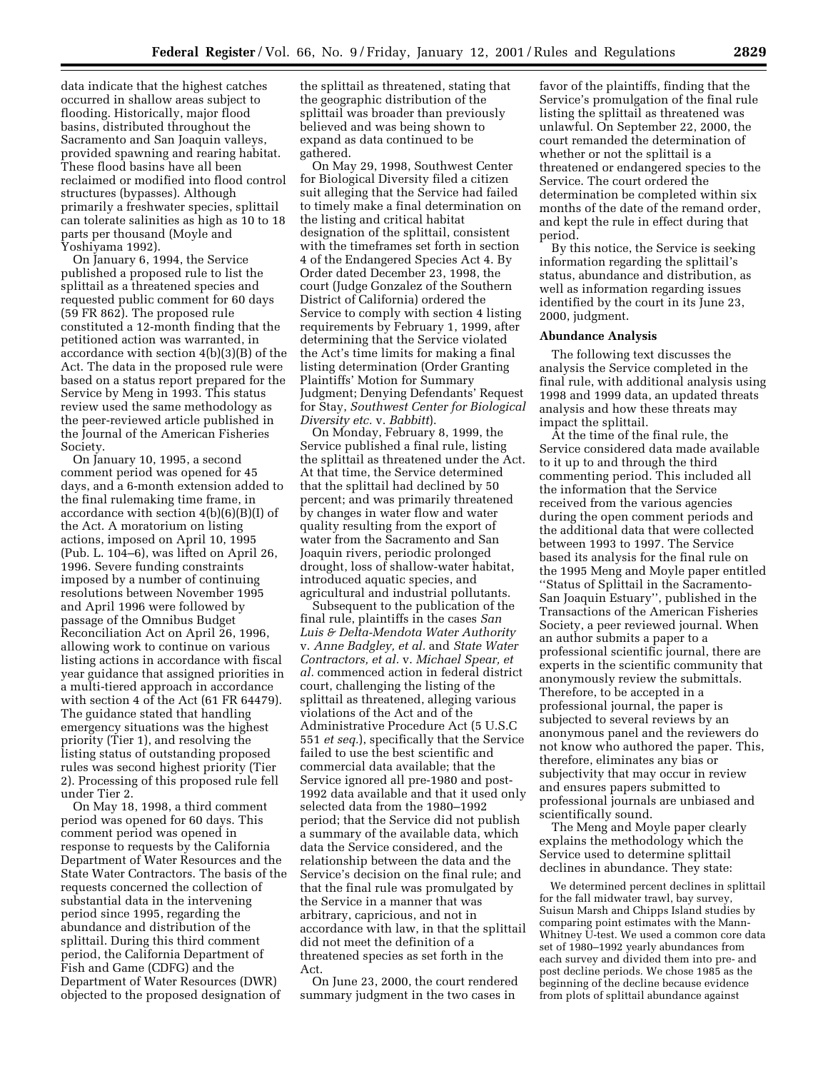data indicate that the highest catches occurred in shallow areas subject to flooding. Historically, major flood basins, distributed throughout the Sacramento and San Joaquin valleys, provided spawning and rearing habitat. These flood basins have all been reclaimed or modified into flood control structures (bypasses). Although primarily a freshwater species, splittail can tolerate salinities as high as 10 to 18 parts per thousand (Moyle and Yoshiyama 1992).

On January 6, 1994, the Service published a proposed rule to list the splittail as a threatened species and requested public comment for 60 days (59 FR 862). The proposed rule constituted a 12-month finding that the petitioned action was warranted, in accordance with section 4(b)(3)(B) of the Act. The data in the proposed rule were based on a status report prepared for the Service by Meng in 1993. This status review used the same methodology as the peer-reviewed article published in the Journal of the American Fisheries Society.

On January 10, 1995, a second comment period was opened for 45 days, and a 6-month extension added to the final rulemaking time frame, in accordance with section 4(b)(6)(B)(I) of the Act. A moratorium on listing actions, imposed on April 10, 1995  $(Pub. L. 104–6), was lifted on April 26,$ 1996. Severe funding constraints imposed by a number of continuing resolutions between November 1995 and April 1996 were followed by passage of the Omnibus Budget Reconciliation Act on April 26, 1996, allowing work to continue on various listing actions in accordance with fiscal year guidance that assigned priorities in a multi-tiered approach in accordance with section 4 of the Act (61 FR 64479). The guidance stated that handling emergency situations was the highest priority (Tier 1), and resolving the listing status of outstanding proposed rules was second highest priority (Tier 2). Processing of this proposed rule fell under Tier 2.

On May 18, 1998, a third comment period was opened for 60 days. This comment period was opened in response to requests by the California Department of Water Resources and the State Water Contractors. The basis of the requests concerned the collection of substantial data in the intervening period since 1995, regarding the abundance and distribution of the splittail. During this third comment period, the California Department of Fish and Game (CDFG) and the Department of Water Resources (DWR) objected to the proposed designation of

the splittail as threatened, stating that the geographic distribution of the splittail was broader than previously believed and was being shown to expand as data continued to be gathered.

On May 29, 1998, Southwest Center for Biological Diversity filed a citizen suit alleging that the Service had failed to timely make a final determination on the listing and critical habitat designation of the splittail, consistent with the timeframes set forth in section 4 of the Endangered Species Act 4. By Order dated December 23, 1998, the court (Judge Gonzalez of the Southern District of California) ordered the Service to comply with section 4 listing requirements by February 1, 1999, after determining that the Service violated the Act's time limits for making a final listing determination (Order Granting Plaintiffs' Motion for Summary Judgment; Denying Defendants' Request for Stay, *Southwest Center for Biological Diversity etc.* v. *Babbitt*).

On Monday, February 8, 1999, the Service published a final rule, listing the splittail as threatened under the Act. At that time, the Service determined that the splittail had declined by 50 percent; and was primarily threatened by changes in water flow and water quality resulting from the export of water from the Sacramento and San Joaquin rivers, periodic prolonged drought, loss of shallow-water habitat, introduced aquatic species, and agricultural and industrial pollutants.

Subsequent to the publication of the final rule, plaintiffs in the cases *San Luis & Delta-Mendota Water Authority* v. *Anne Badgley, et al.* and *State Water Contractors, et al.* v. *Michael Spear, et al.* commenced action in federal district court, challenging the listing of the splittail as threatened, alleging various violations of the Act and of the Administrative Procedure Act (5 U.S.C 551 *et seq.*), specifically that the Service failed to use the best scientific and commercial data available; that the Service ignored all pre-1980 and post-1992 data available and that it used only selected data from the 1980–1992 period; that the Service did not publish a summary of the available data, which data the Service considered, and the relationship between the data and the Service's decision on the final rule; and that the final rule was promulgated by the Service in a manner that was arbitrary, capricious, and not in accordance with law, in that the splittail did not meet the definition of a threatened species as set forth in the Act.

On June 23, 2000, the court rendered summary judgment in the two cases in

favor of the plaintiffs, finding that the Service's promulgation of the final rule listing the splittail as threatened was unlawful. On September 22, 2000, the court remanded the determination of whether or not the splittail is a threatened or endangered species to the Service. The court ordered the determination be completed within six months of the date of the remand order, and kept the rule in effect during that period.

By this notice, the Service is seeking information regarding the splittail's status, abundance and distribution, as well as information regarding issues identified by the court in its June 23, 2000, judgment.

#### **Abundance Analysis**

The following text discusses the analysis the Service completed in the final rule, with additional analysis using 1998 and 1999 data, an updated threats analysis and how these threats may impact the splittail.

At the time of the final rule, the Service considered data made available to it up to and through the third commenting period. This included all the information that the Service received from the various agencies during the open comment periods and the additional data that were collected between 1993 to 1997. The Service based its analysis for the final rule on the 1995 Meng and Moyle paper entitled ''Status of Splittail in the Sacramento-San Joaquin Estuary'', published in the Transactions of the American Fisheries Society, a peer reviewed journal. When an author submits a paper to a professional scientific journal, there are experts in the scientific community that anonymously review the submittals. Therefore, to be accepted in a professional journal, the paper is subjected to several reviews by an anonymous panel and the reviewers do not know who authored the paper. This, therefore, eliminates any bias or subjectivity that may occur in review and ensures papers submitted to professional journals are unbiased and scientifically sound.

The Meng and Moyle paper clearly explains the methodology which the Service used to determine splittail declines in abundance. They state:

We determined percent declines in splittail for the fall midwater trawl, bay survey, Suisun Marsh and Chipps Island studies by comparing point estimates with the Mann-Whitney U-test. We used a common core data set of 1980–1992 yearly abundances from each survey and divided them into pre- and post decline periods. We chose 1985 as the beginning of the decline because evidence from plots of splittail abundance against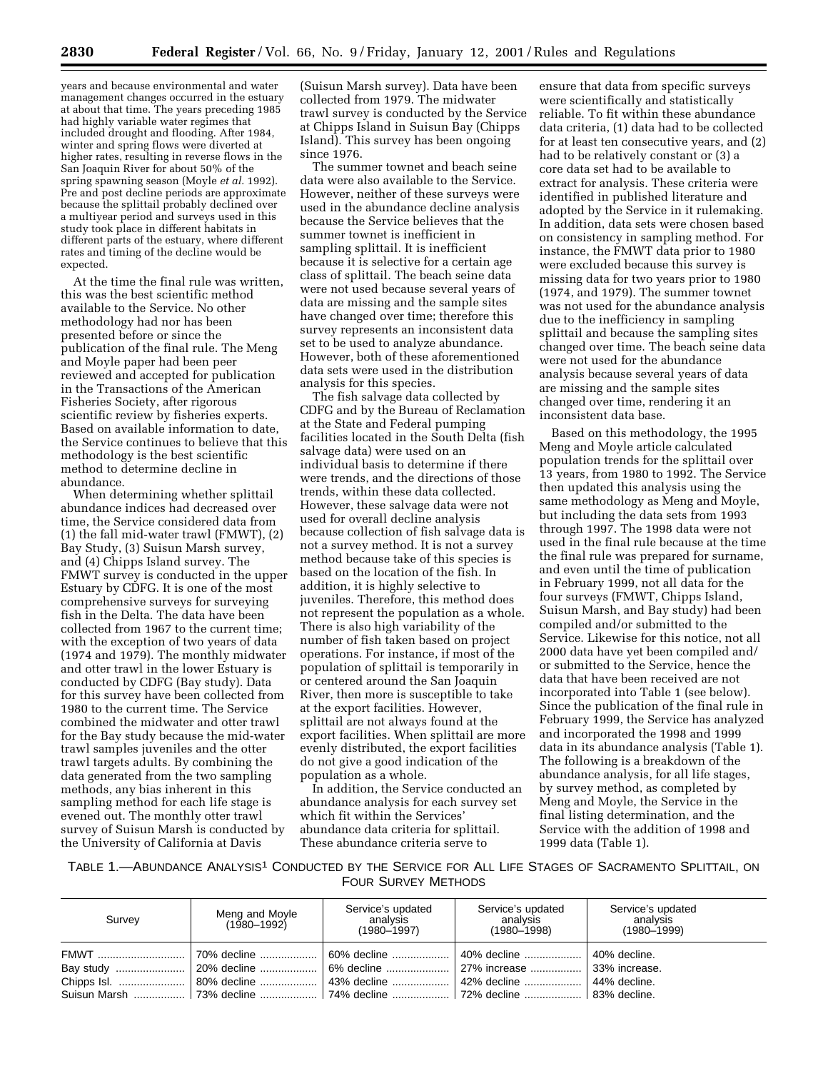years and because environmental and water management changes occurred in the estuary at about that time. The years preceding 1985 had highly variable water regimes that included drought and flooding. After 1984, winter and spring flows were diverted at higher rates, resulting in reverse flows in the San Joaquin River for about 50% of the spring spawning season (Moyle *et al.* 1992). Pre and post decline periods are approximate because the splittail probably declined over a multiyear period and surveys used in this study took place in different habitats in different parts of the estuary, where different rates and timing of the decline would be expected.

At the time the final rule was written, this was the best scientific method available to the Service. No other methodology had nor has been presented before or since the publication of the final rule. The Meng and Moyle paper had been peer reviewed and accepted for publication in the Transactions of the American Fisheries Society, after rigorous scientific review by fisheries experts. Based on available information to date, the Service continues to believe that this methodology is the best scientific method to determine decline in abundance.

When determining whether splittail abundance indices had decreased over time, the Service considered data from (1) the fall mid-water trawl (FMWT), (2) Bay Study, (3) Suisun Marsh survey, and (4) Chipps Island survey. The FMWT survey is conducted in the upper Estuary by CDFG. It is one of the most comprehensive surveys for surveying fish in the Delta. The data have been collected from 1967 to the current time; with the exception of two years of data (1974 and 1979). The monthly midwater and otter trawl in the lower Estuary is conducted by CDFG (Bay study). Data for this survey have been collected from 1980 to the current time. The Service combined the midwater and otter trawl for the Bay study because the mid-water trawl samples juveniles and the otter trawl targets adults. By combining the data generated from the two sampling methods, any bias inherent in this sampling method for each life stage is evened out. The monthly otter trawl survey of Suisun Marsh is conducted by the University of California at Davis

(Suisun Marsh survey). Data have been collected from 1979. The midwater trawl survey is conducted by the Service at Chipps Island in Suisun Bay (Chipps Island). This survey has been ongoing since 1976.

The summer townet and beach seine data were also available to the Service. However, neither of these surveys were used in the abundance decline analysis because the Service believes that the summer townet is inefficient in sampling splittail. It is inefficient because it is selective for a certain age class of splittail. The beach seine data were not used because several years of data are missing and the sample sites have changed over time; therefore this survey represents an inconsistent data set to be used to analyze abundance. However, both of these aforementioned data sets were used in the distribution analysis for this species.

The fish salvage data collected by CDFG and by the Bureau of Reclamation at the State and Federal pumping facilities located in the South Delta (fish salvage data) were used on an individual basis to determine if there were trends, and the directions of those trends, within these data collected. However, these salvage data were not used for overall decline analysis because collection of fish salvage data is not a survey method. It is not a survey method because take of this species is based on the location of the fish. In addition, it is highly selective to juveniles. Therefore, this method does not represent the population as a whole. There is also high variability of the number of fish taken based on project operations. For instance, if most of the population of splittail is temporarily in or centered around the San Joaquin River, then more is susceptible to take at the export facilities. However, splittail are not always found at the export facilities. When splittail are more evenly distributed, the export facilities do not give a good indication of the population as a whole.

In addition, the Service conducted an abundance analysis for each survey set which fit within the Services' abundance data criteria for splittail. These abundance criteria serve to

ensure that data from specific surveys were scientifically and statistically reliable. To fit within these abundance data criteria, (1) data had to be collected for at least ten consecutive years, and (2) had to be relatively constant or (3) a core data set had to be available to extract for analysis. These criteria were identified in published literature and adopted by the Service in it rulemaking. In addition, data sets were chosen based on consistency in sampling method. For instance, the FMWT data prior to 1980 were excluded because this survey is missing data for two years prior to 1980 (1974, and 1979). The summer townet was not used for the abundance analysis due to the inefficiency in sampling splittail and because the sampling sites changed over time. The beach seine data were not used for the abundance analysis because several years of data are missing and the sample sites changed over time, rendering it an inconsistent data base.

Based on this methodology, the 1995 Meng and Moyle article calculated population trends for the splittail over 13 years, from 1980 to 1992. The Service then updated this analysis using the same methodology as Meng and Moyle, but including the data sets from 1993 through 1997. The 1998 data were not used in the final rule because at the time the final rule was prepared for surname, and even until the time of publication in February 1999, not all data for the four surveys (FMWT, Chipps Island, Suisun Marsh, and Bay study) had been compiled and/or submitted to the Service. Likewise for this notice, not all 2000 data have yet been compiled and/ or submitted to the Service, hence the data that have been received are not incorporated into Table 1 (see below). Since the publication of the final rule in February 1999, the Service has analyzed and incorporated the 1998 and 1999 data in its abundance analysis (Table 1). The following is a breakdown of the abundance analysis, for all life stages, by survey method, as completed by Meng and Moyle, the Service in the final listing determination, and the Service with the addition of 1998 and 1999 data (Table 1).

TABLE 1.—ABUNDANCE ANALYSIS1 CONDUCTED BY THE SERVICE FOR ALL LIFE STAGES OF SACRAMENTO SPLITTAIL, ON FOUR SURVEY METHODS

| Survey | Meng and Moyle<br>(1980-1992) | Service's updated<br>analvsis<br>$(1980 - 1997)$ | Service's updated<br>analvsis<br>$(1980 - 1998)$ | Service's updated<br>analvsis<br>$(1980 - 1999)$ |
|--------|-------------------------------|--------------------------------------------------|--------------------------------------------------|--------------------------------------------------|
|        |                               |                                                  | 40% decline  l                                   | 40% decline.<br>44% decline.                     |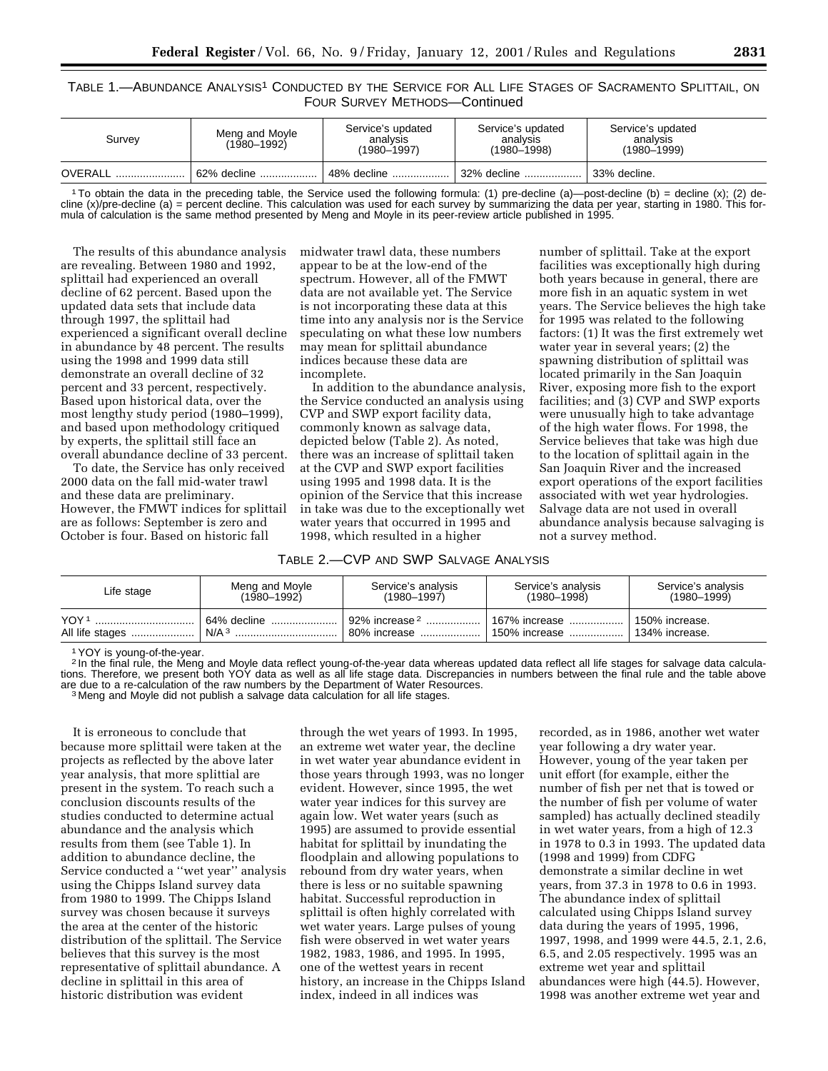# TABLE 1.—ABUNDANCE ANALYSIS1 CONDUCTED BY THE SERVICE FOR ALL LIFE STAGES OF SACRAMENTO SPLITTAIL, ON FOUR SURVEY METHODS—Continued

| Survev  | Meng and Moyle<br>$(1980 - 1992)$ | Service's updated<br>analysis<br>(1980–1997) | Service's updated<br>analysis<br>$(1980 - 1998)$ | Service's updated<br>analysis<br>$(1980 - 1999)$ |  |
|---------|-----------------------------------|----------------------------------------------|--------------------------------------------------|--------------------------------------------------|--|
| OVERALL | 62% decline                       | 48% decline                                  | 32% decline                                      | 33% decline.                                     |  |

1To obtain the data in the preceding table, the Service used the following formula: (1) pre-decline (a)—post-decline (b) = decline (x); (2) decline (x)/pre-decline (a) = percent decline. This calculation was used for each survey by summarizing the data per year, starting in 1980. This formula of calculation is the same method presented by Meng and Moyle in its peer-review article published in 1995.

The results of this abundance analysis are revealing. Between 1980 and 1992, splittail had experienced an overall decline of 62 percent. Based upon the updated data sets that include data through 1997, the splittail had experienced a significant overall decline in abundance by 48 percent. The results using the 1998 and 1999 data still demonstrate an overall decline of 32 percent and 33 percent, respectively. Based upon historical data, over the most lengthy study period (1980–1999), and based upon methodology critiqued by experts, the splittail still face an overall abundance decline of 33 percent.

To date, the Service has only received 2000 data on the fall mid-water trawl and these data are preliminary. However, the FMWT indices for splittail are as follows: September is zero and October is four. Based on historic fall

midwater trawl data, these numbers appear to be at the low-end of the spectrum. However, all of the FMWT data are not available yet. The Service is not incorporating these data at this time into any analysis nor is the Service speculating on what these low numbers may mean for splittail abundance indices because these data are incomplete.

In addition to the abundance analysis, the Service conducted an analysis using CVP and SWP export facility data, commonly known as salvage data, depicted below (Table 2). As noted, there was an increase of splittail taken at the CVP and SWP export facilities using 1995 and 1998 data. It is the opinion of the Service that this increase in take was due to the exceptionally wet water years that occurred in 1995 and 1998, which resulted in a higher

TABLE 2.—CVP AND SWP SALVAGE ANALYSIS

| Life stage      | Meng and Moyle   | Service's analysis          | Service's analysis | Service's analysis |
|-----------------|------------------|-----------------------------|--------------------|--------------------|
|                 | $(1980 - 1992)$  | $(1980 - 1997)$             | (1980–1998)        | $(1980 - 1999)$    |
| YOY 1           | 64% decline      | , 92% increase <sup>2</sup> | 1 167% increase    | 150% increase.     |
| All life stages | N/A <sup>3</sup> | 80% increase                | 150% increase      | 134% increase.     |

1YOY is young-of-the-year.

2 In the final rule, the Meng and Moyle data reflect young-of-the-year data whereas updated data reflect all life stages for salvage data calculations. Therefore, we present both YOY data as well as all life stage data. Discrepancies in numbers between the final rule and the table above are due to a re-calculation of the raw numbers by the Department of Water Resources.<br><sup>3</sup> Meng and Moyle did not publish a salvage data calculation for all life stages.

It is erroneous to conclude that because more splittail were taken at the projects as reflected by the above later year analysis, that more splittial are present in the system. To reach such a conclusion discounts results of the studies conducted to determine actual abundance and the analysis which results from them (see Table 1). In addition to abundance decline, the Service conducted a ''wet year'' analysis using the Chipps Island survey data from 1980 to 1999. The Chipps Island survey was chosen because it surveys the area at the center of the historic distribution of the splittail. The Service believes that this survey is the most representative of splittail abundance. A decline in splittail in this area of historic distribution was evident

through the wet years of 1993. In 1995, an extreme wet water year, the decline in wet water year abundance evident in those years through 1993, was no longer evident. However, since 1995, the wet water year indices for this survey are again low. Wet water years (such as 1995) are assumed to provide essential habitat for splittail by inundating the floodplain and allowing populations to rebound from dry water years, when there is less or no suitable spawning habitat. Successful reproduction in splittail is often highly correlated with wet water years. Large pulses of young fish were observed in wet water years 1982, 1983, 1986, and 1995. In 1995, one of the wettest years in recent history, an increase in the Chipps Island index, indeed in all indices was

recorded, as in 1986, another wet water year following a dry water year. However, young of the year taken per unit effort (for example, either the number of fish per net that is towed or the number of fish per volume of water sampled) has actually declined steadily in wet water years, from a high of 12.3 in 1978 to 0.3 in 1993. The updated data (1998 and 1999) from CDFG demonstrate a similar decline in wet years, from 37.3 in 1978 to 0.6 in 1993. The abundance index of splittail calculated using Chipps Island survey data during the years of 1995, 1996, 1997, 1998, and 1999 were 44.5, 2.1, 2.6, 6.5, and 2.05 respectively. 1995 was an extreme wet year and splittail abundances were high (44.5). However, 1998 was another extreme wet year and

number of splittail. Take at the export facilities was exceptionally high during both years because in general, there are more fish in an aquatic system in wet years. The Service believes the high take for 1995 was related to the following factors: (1) It was the first extremely wet water year in several years; (2) the spawning distribution of splittail was located primarily in the San Joaquin River, exposing more fish to the export facilities; and (3) CVP and SWP exports were unusually high to take advantage of the high water flows. For 1998, the Service believes that take was high due to the location of splittail again in the San Joaquin River and the increased export operations of the export facilities associated with wet year hydrologies. Salvage data are not used in overall abundance analysis because salvaging is

not a survey method.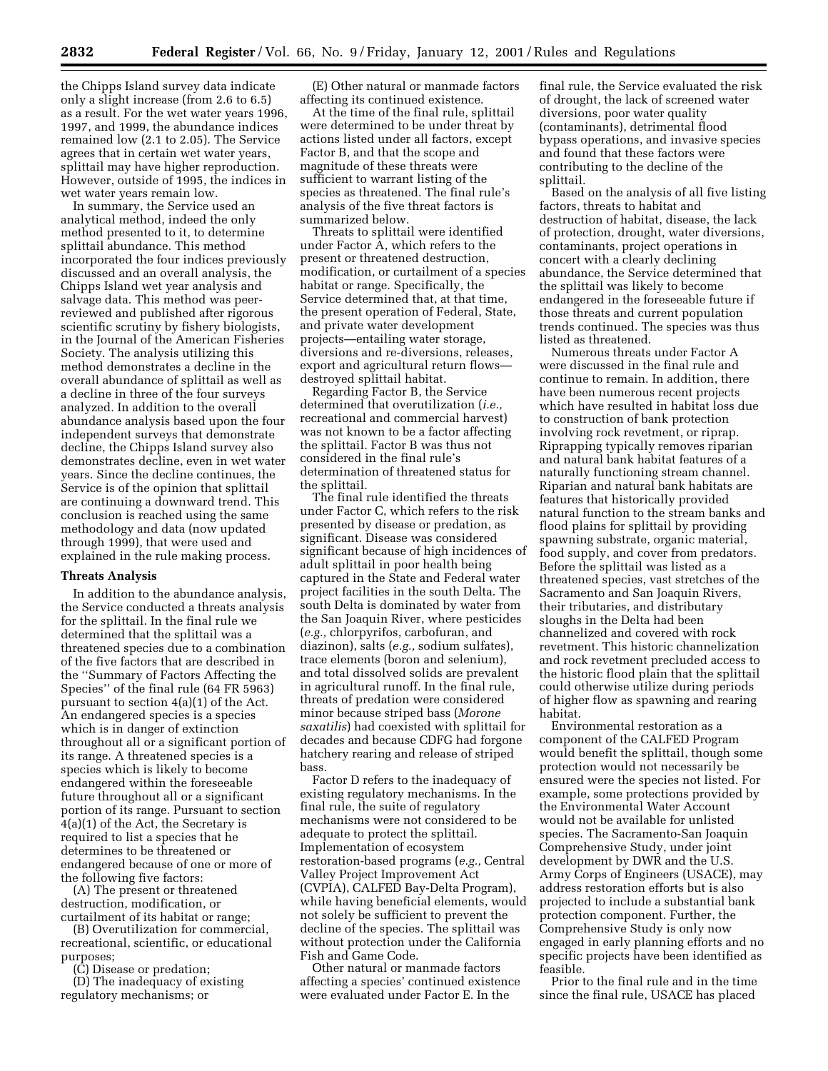the Chipps Island survey data indicate only a slight increase (from 2.6 to 6.5) as a result. For the wet water years 1996, 1997, and 1999, the abundance indices remained low (2.1 to 2.05). The Service agrees that in certain wet water years, splittail may have higher reproduction. However, outside of 1995, the indices in wet water years remain low.

In summary, the Service used an analytical method, indeed the only method presented to it, to determine splittail abundance. This method incorporated the four indices previously discussed and an overall analysis, the Chipps Island wet year analysis and salvage data. This method was peerreviewed and published after rigorous scientific scrutiny by fishery biologists, in the Journal of the American Fisheries Society. The analysis utilizing this method demonstrates a decline in the overall abundance of splittail as well as a decline in three of the four surveys analyzed. In addition to the overall abundance analysis based upon the four independent surveys that demonstrate decline, the Chipps Island survey also demonstrates decline, even in wet water years. Since the decline continues, the Service is of the opinion that splittail are continuing a downward trend. This conclusion is reached using the same methodology and data (now updated through 1999), that were used and explained in the rule making process.

#### **Threats Analysis**

In addition to the abundance analysis, the Service conducted a threats analysis for the splittail. In the final rule we determined that the splittail was a threatened species due to a combination of the five factors that are described in the ''Summary of Factors Affecting the Species'' of the final rule (64 FR 5963) pursuant to section 4(a)(1) of the Act. An endangered species is a species which is in danger of extinction throughout all or a significant portion of its range. A threatened species is a species which is likely to become endangered within the foreseeable future throughout all or a significant portion of its range. Pursuant to section 4(a)(1) of the Act, the Secretary is required to list a species that he determines to be threatened or endangered because of one or more of the following five factors:

(A) The present or threatened destruction, modification, or curtailment of its habitat or range;

(B) Overutilization for commercial, recreational, scientific, or educational purposes;

(C) Disease or predation;

(D) The inadequacy of existing regulatory mechanisms; or

(E) Other natural or manmade factors affecting its continued existence.

At the time of the final rule, splittail were determined to be under threat by actions listed under all factors, except Factor B, and that the scope and magnitude of these threats were sufficient to warrant listing of the species as threatened. The final rule's analysis of the five threat factors is summarized below.

Threats to splittail were identified under Factor A, which refers to the present or threatened destruction, modification, or curtailment of a species habitat or range. Specifically, the Service determined that, at that time, the present operation of Federal, State, and private water development projects—entailing water storage, diversions and re-diversions, releases, export and agricultural return flows destroyed splittail habitat.

Regarding Factor B, the Service determined that overutilization (*i.e.,* recreational and commercial harvest) was not known to be a factor affecting the splittail. Factor B was thus not considered in the final rule's determination of threatened status for the splittail.

The final rule identified the threats under Factor C, which refers to the risk presented by disease or predation, as significant. Disease was considered significant because of high incidences of adult splittail in poor health being captured in the State and Federal water project facilities in the south Delta. The south Delta is dominated by water from the San Joaquin River, where pesticides (*e.g.,* chlorpyrifos, carbofuran, and diazinon), salts (*e.g.,* sodium sulfates), trace elements (boron and selenium), and total dissolved solids are prevalent in agricultural runoff. In the final rule, threats of predation were considered minor because striped bass (*Morone saxatilis*) had coexisted with splittail for decades and because CDFG had forgone hatchery rearing and release of striped bass.

Factor D refers to the inadequacy of existing regulatory mechanisms. In the final rule, the suite of regulatory mechanisms were not considered to be adequate to protect the splittail. Implementation of ecosystem restoration-based programs (*e.g.,* Central Valley Project Improvement Act (CVPIA), CALFED Bay-Delta Program), while having beneficial elements, would not solely be sufficient to prevent the decline of the species. The splittail was without protection under the California Fish and Game Code.

Other natural or manmade factors affecting a species' continued existence were evaluated under Factor E. In the

final rule, the Service evaluated the risk of drought, the lack of screened water diversions, poor water quality (contaminants), detrimental flood bypass operations, and invasive species and found that these factors were contributing to the decline of the splittail.

Based on the analysis of all five listing factors, threats to habitat and destruction of habitat, disease, the lack of protection, drought, water diversions, contaminants, project operations in concert with a clearly declining abundance, the Service determined that the splittail was likely to become endangered in the foreseeable future if those threats and current population trends continued. The species was thus listed as threatened.

Numerous threats under Factor A were discussed in the final rule and continue to remain. In addition, there have been numerous recent projects which have resulted in habitat loss due to construction of bank protection involving rock revetment, or riprap. Riprapping typically removes riparian and natural bank habitat features of a naturally functioning stream channel. Riparian and natural bank habitats are features that historically provided natural function to the stream banks and flood plains for splittail by providing spawning substrate, organic material, food supply, and cover from predators. Before the splittail was listed as a threatened species, vast stretches of the Sacramento and San Joaquin Rivers, their tributaries, and distributary sloughs in the Delta had been channelized and covered with rock revetment. This historic channelization and rock revetment precluded access to the historic flood plain that the splittail could otherwise utilize during periods of higher flow as spawning and rearing habitat.

Environmental restoration as a component of the CALFED Program would benefit the splittail, though some protection would not necessarily be ensured were the species not listed. For example, some protections provided by the Environmental Water Account would not be available for unlisted species. The Sacramento-San Joaquin Comprehensive Study, under joint development by DWR and the U.S. Army Corps of Engineers (USACE), may address restoration efforts but is also projected to include a substantial bank protection component. Further, the Comprehensive Study is only now engaged in early planning efforts and no specific projects have been identified as feasible.

Prior to the final rule and in the time since the final rule, USACE has placed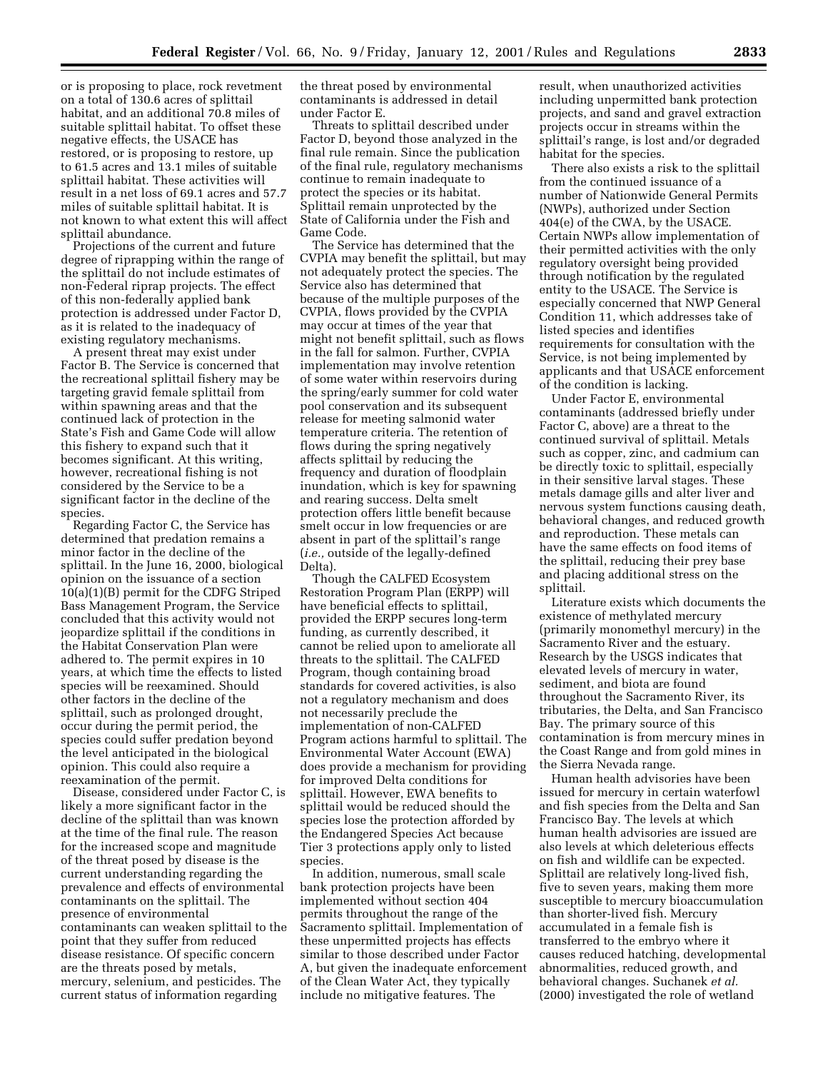or is proposing to place, rock revetment on a total of 130.6 acres of splittail habitat, and an additional 70.8 miles of suitable splittail habitat. To offset these negative effects, the USACE has restored, or is proposing to restore, up to 61.5 acres and 13.1 miles of suitable splittail habitat. These activities will result in a net loss of 69.1 acres and 57.7 miles of suitable splittail habitat. It is not known to what extent this will affect splittail abundance.

Projections of the current and future degree of riprapping within the range of the splittail do not include estimates of non-Federal riprap projects. The effect of this non-federally applied bank protection is addressed under Factor D, as it is related to the inadequacy of existing regulatory mechanisms.

A present threat may exist under Factor B. The Service is concerned that the recreational splittail fishery may be targeting gravid female splittail from within spawning areas and that the continued lack of protection in the State's Fish and Game Code will allow this fishery to expand such that it becomes significant. At this writing, however, recreational fishing is not considered by the Service to be a significant factor in the decline of the species.

Regarding Factor C, the Service has determined that predation remains a minor factor in the decline of the splittail. In the June 16, 2000, biological opinion on the issuance of a section 10(a)(1)(B) permit for the CDFG Striped Bass Management Program, the Service concluded that this activity would not jeopardize splittail if the conditions in the Habitat Conservation Plan were adhered to. The permit expires in 10 years, at which time the effects to listed species will be reexamined. Should other factors in the decline of the splittail, such as prolonged drought, occur during the permit period, the species could suffer predation beyond the level anticipated in the biological opinion. This could also require a reexamination of the permit.

Disease, considered under Factor C, is likely a more significant factor in the decline of the splittail than was known at the time of the final rule. The reason for the increased scope and magnitude of the threat posed by disease is the current understanding regarding the prevalence and effects of environmental contaminants on the splittail. The presence of environmental contaminants can weaken splittail to the point that they suffer from reduced disease resistance. Of specific concern are the threats posed by metals, mercury, selenium, and pesticides. The current status of information regarding

the threat posed by environmental contaminants is addressed in detail under Factor E.

Threats to splittail described under Factor D, beyond those analyzed in the final rule remain. Since the publication of the final rule, regulatory mechanisms continue to remain inadequate to protect the species or its habitat. Splittail remain unprotected by the State of California under the Fish and Game Code.

The Service has determined that the CVPIA may benefit the splittail, but may not adequately protect the species. The Service also has determined that because of the multiple purposes of the CVPIA, flows provided by the CVPIA may occur at times of the year that might not benefit splittail, such as flows in the fall for salmon. Further, CVPIA implementation may involve retention of some water within reservoirs during the spring/early summer for cold water pool conservation and its subsequent release for meeting salmonid water temperature criteria. The retention of flows during the spring negatively affects splittail by reducing the frequency and duration of floodplain inundation, which is key for spawning and rearing success. Delta smelt protection offers little benefit because smelt occur in low frequencies or are absent in part of the splittail's range (*i.e.,* outside of the legally-defined Delta).

Though the CALFED Ecosystem Restoration Program Plan (ERPP) will have beneficial effects to splittail, provided the ERPP secures long-term funding, as currently described, it cannot be relied upon to ameliorate all threats to the splittail. The CALFED Program, though containing broad standards for covered activities, is also not a regulatory mechanism and does not necessarily preclude the implementation of non-CALFED Program actions harmful to splittail. The Environmental Water Account (EWA) does provide a mechanism for providing for improved Delta conditions for splittail. However, EWA benefits to splittail would be reduced should the species lose the protection afforded by the Endangered Species Act because Tier 3 protections apply only to listed species.

In addition, numerous, small scale bank protection projects have been implemented without section 404 permits throughout the range of the Sacramento splittail. Implementation of these unpermitted projects has effects similar to those described under Factor A, but given the inadequate enforcement of the Clean Water Act, they typically include no mitigative features. The

result, when unauthorized activities including unpermitted bank protection projects, and sand and gravel extraction projects occur in streams within the splittail's range, is lost and/or degraded habitat for the species.

There also exists a risk to the splittail from the continued issuance of a number of Nationwide General Permits (NWPs), authorized under Section 404(e) of the CWA, by the USACE. Certain NWPs allow implementation of their permitted activities with the only regulatory oversight being provided through notification by the regulated entity to the USACE. The Service is especially concerned that NWP General Condition 11, which addresses take of listed species and identifies requirements for consultation with the Service, is not being implemented by applicants and that USACE enforcement of the condition is lacking.

Under Factor E, environmental contaminants (addressed briefly under Factor C, above) are a threat to the continued survival of splittail. Metals such as copper, zinc, and cadmium can be directly toxic to splittail, especially in their sensitive larval stages. These metals damage gills and alter liver and nervous system functions causing death, behavioral changes, and reduced growth and reproduction. These metals can have the same effects on food items of the splittail, reducing their prey base and placing additional stress on the splittail.

Literature exists which documents the existence of methylated mercury (primarily monomethyl mercury) in the Sacramento River and the estuary. Research by the USGS indicates that elevated levels of mercury in water, sediment, and biota are found throughout the Sacramento River, its tributaries, the Delta, and San Francisco Bay. The primary source of this contamination is from mercury mines in the Coast Range and from gold mines in the Sierra Nevada range.

Human health advisories have been issued for mercury in certain waterfowl and fish species from the Delta and San Francisco Bay. The levels at which human health advisories are issued are also levels at which deleterious effects on fish and wildlife can be expected. Splittail are relatively long-lived fish, five to seven years, making them more susceptible to mercury bioaccumulation than shorter-lived fish. Mercury accumulated in a female fish is transferred to the embryo where it causes reduced hatching, developmental abnormalities, reduced growth, and behavioral changes. Suchanek *et al.* (2000) investigated the role of wetland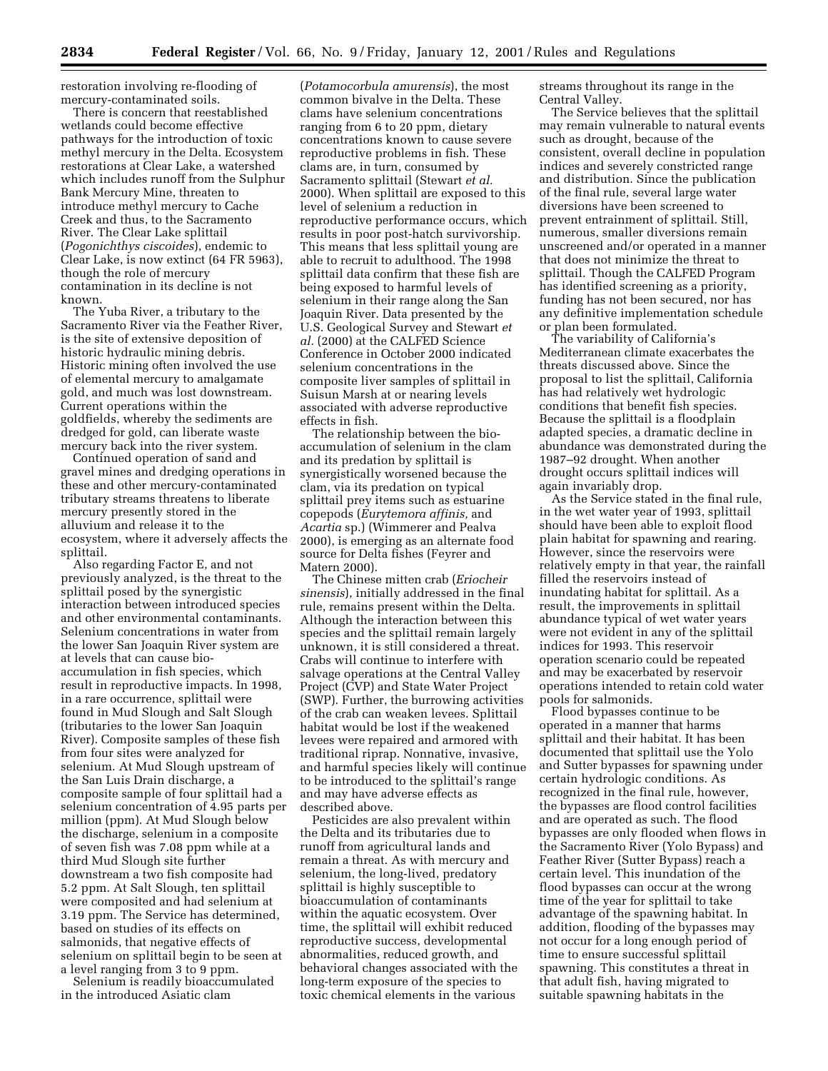restoration involving re-flooding of mercury-contaminated soils.

There is concern that reestablished wetlands could become effective pathways for the introduction of toxic methyl mercury in the Delta. Ecosystem restorations at Clear Lake, a watershed which includes runoff from the Sulphur Bank Mercury Mine, threaten to introduce methyl mercury to Cache Creek and thus, to the Sacramento River. The Clear Lake splittail (*Pogonichthys ciscoides*), endemic to Clear Lake, is now extinct (64 FR 5963), though the role of mercury contamination in its decline is not known.

The Yuba River, a tributary to the Sacramento River via the Feather River, is the site of extensive deposition of historic hydraulic mining debris. Historic mining often involved the use of elemental mercury to amalgamate gold, and much was lost downstream. Current operations within the goldfields, whereby the sediments are dredged for gold, can liberate waste mercury back into the river system.

Continued operation of sand and gravel mines and dredging operations in these and other mercury-contaminated tributary streams threatens to liberate mercury presently stored in the alluvium and release it to the ecosystem, where it adversely affects the splittail.

Also regarding Factor E, and not previously analyzed, is the threat to the splittail posed by the synergistic interaction between introduced species and other environmental contaminants. Selenium concentrations in water from the lower San Joaquin River system are at levels that can cause bioaccumulation in fish species, which result in reproductive impacts. In 1998, in a rare occurrence, splittail were found in Mud Slough and Salt Slough (tributaries to the lower San Joaquin River). Composite samples of these fish from four sites were analyzed for selenium. At Mud Slough upstream of the San Luis Drain discharge, a composite sample of four splittail had a selenium concentration of 4.95 parts per million (ppm). At Mud Slough below the discharge, selenium in a composite of seven fish was 7.08 ppm while at a third Mud Slough site further downstream a two fish composite had 5.2 ppm. At Salt Slough, ten splittail were composited and had selenium at 3.19 ppm. The Service has determined, based on studies of its effects on salmonids, that negative effects of selenium on splittail begin to be seen at a level ranging from 3 to 9 ppm.

Selenium is readily bioaccumulated in the introduced Asiatic clam

(*Potamocorbula amurensis*), the most common bivalve in the Delta. These clams have selenium concentrations ranging from 6 to 20 ppm, dietary concentrations known to cause severe reproductive problems in fish. These clams are, in turn, consumed by Sacramento splittail (Stewart *et al.* 2000). When splittail are exposed to this level of selenium a reduction in reproductive performance occurs, which results in poor post-hatch survivorship. This means that less splittail young are able to recruit to adulthood. The 1998 splittail data confirm that these fish are being exposed to harmful levels of selenium in their range along the San Joaquin River. Data presented by the U.S. Geological Survey and Stewart *et al.* (2000) at the CALFED Science Conference in October 2000 indicated selenium concentrations in the composite liver samples of splittail in Suisun Marsh at or nearing levels associated with adverse reproductive effects in fish.

The relationship between the bioaccumulation of selenium in the clam and its predation by splittail is synergistically worsened because the clam, via its predation on typical splittail prey items such as estuarine copepods (*Eurytemora affinis,* and *Acartia* sp.) (Wimmerer and Pealva 2000), is emerging as an alternate food source for Delta fishes (Feyrer and Matern 2000).

The Chinese mitten crab (*Eriocheir sinensis*), initially addressed in the final rule, remains present within the Delta. Although the interaction between this species and the splittail remain largely unknown, it is still considered a threat. Crabs will continue to interfere with salvage operations at the Central Valley Project (CVP) and State Water Project (SWP). Further, the burrowing activities of the crab can weaken levees. Splittail habitat would be lost if the weakened levees were repaired and armored with traditional riprap. Nonnative, invasive, and harmful species likely will continue to be introduced to the splittail's range and may have adverse effects as described above.

Pesticides are also prevalent within the Delta and its tributaries due to runoff from agricultural lands and remain a threat. As with mercury and selenium, the long-lived, predatory splittail is highly susceptible to bioaccumulation of contaminants within the aquatic ecosystem. Over time, the splittail will exhibit reduced reproductive success, developmental abnormalities, reduced growth, and behavioral changes associated with the long-term exposure of the species to toxic chemical elements in the various

streams throughout its range in the Central Valley.

The Service believes that the splittail may remain vulnerable to natural events such as drought, because of the consistent, overall decline in population indices and severely constricted range and distribution. Since the publication of the final rule, several large water diversions have been screened to prevent entrainment of splittail. Still, numerous, smaller diversions remain unscreened and/or operated in a manner that does not minimize the threat to splittail. Though the CALFED Program has identified screening as a priority, funding has not been secured, nor has any definitive implementation schedule or plan been formulated.

The variability of California's Mediterranean climate exacerbates the threats discussed above. Since the proposal to list the splittail, California has had relatively wet hydrologic conditions that benefit fish species. Because the splittail is a floodplain adapted species, a dramatic decline in abundance was demonstrated during the 1987–92 drought. When another drought occurs splittail indices will again invariably drop.

As the Service stated in the final rule, in the wet water year of 1993, splittail should have been able to exploit flood plain habitat for spawning and rearing. However, since the reservoirs were relatively empty in that year, the rainfall filled the reservoirs instead of inundating habitat for splittail. As a result, the improvements in splittail abundance typical of wet water years were not evident in any of the splittail indices for 1993. This reservoir operation scenario could be repeated and may be exacerbated by reservoir operations intended to retain cold water pools for salmonids.

Flood bypasses continue to be operated in a manner that harms splittail and their habitat. It has been documented that splittail use the Yolo and Sutter bypasses for spawning under certain hydrologic conditions. As recognized in the final rule, however, the bypasses are flood control facilities and are operated as such. The flood bypasses are only flooded when flows in the Sacramento River (Yolo Bypass) and Feather River (Sutter Bypass) reach a certain level. This inundation of the flood bypasses can occur at the wrong time of the year for splittail to take advantage of the spawning habitat. In addition, flooding of the bypasses may not occur for a long enough period of time to ensure successful splittail spawning. This constitutes a threat in that adult fish, having migrated to suitable spawning habitats in the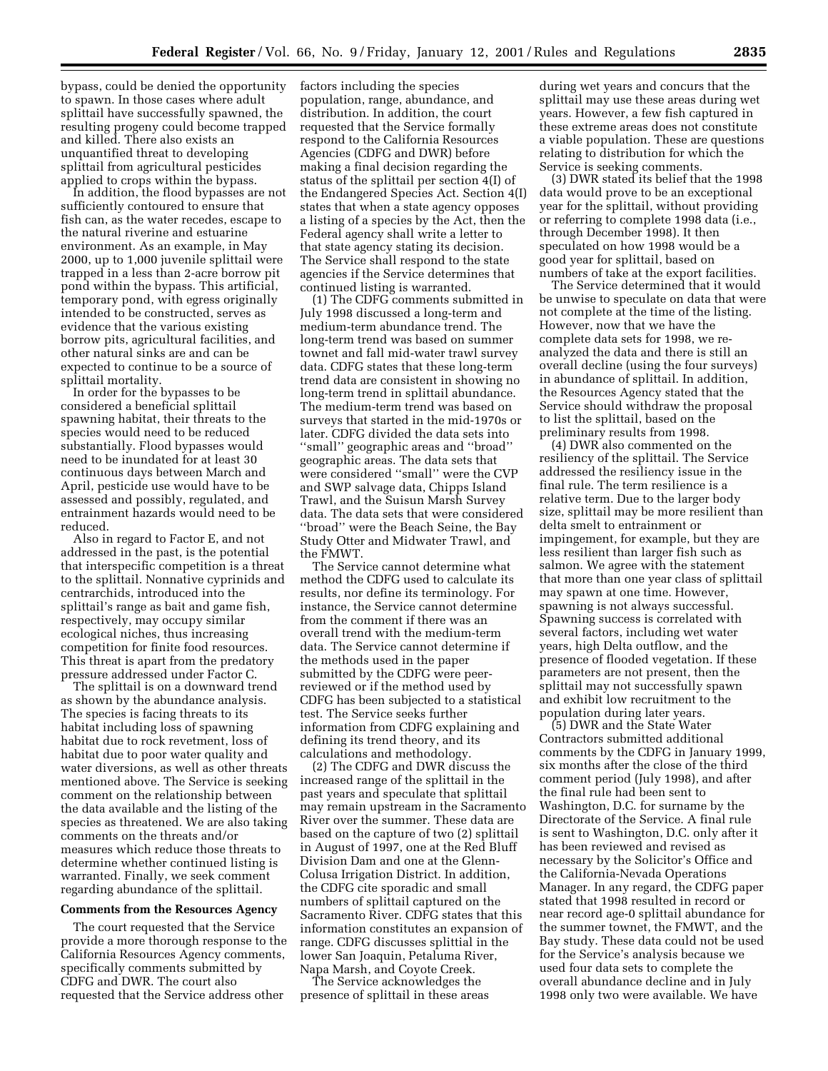bypass, could be denied the opportunity to spawn. In those cases where adult splittail have successfully spawned, the resulting progeny could become trapped and killed. There also exists an unquantified threat to developing splittail from agricultural pesticides applied to crops within the bypass.

In addition, the flood bypasses are not sufficiently contoured to ensure that fish can, as the water recedes, escape to the natural riverine and estuarine environment. As an example, in May 2000, up to 1,000 juvenile splittail were trapped in a less than 2-acre borrow pit pond within the bypass. This artificial, temporary pond, with egress originally intended to be constructed, serves as evidence that the various existing borrow pits, agricultural facilities, and other natural sinks are and can be expected to continue to be a source of splittail mortality.

In order for the bypasses to be considered a beneficial splittail spawning habitat, their threats to the species would need to be reduced substantially. Flood bypasses would need to be inundated for at least 30 continuous days between March and April, pesticide use would have to be assessed and possibly, regulated, and entrainment hazards would need to be reduced.

Also in regard to Factor E, and not addressed in the past, is the potential that interspecific competition is a threat to the splittail. Nonnative cyprinids and centrarchids, introduced into the splittail's range as bait and game fish, respectively, may occupy similar ecological niches, thus increasing competition for finite food resources. This threat is apart from the predatory pressure addressed under Factor C.

The splittail is on a downward trend as shown by the abundance analysis. The species is facing threats to its habitat including loss of spawning habitat due to rock revetment, loss of habitat due to poor water quality and water diversions, as well as other threats mentioned above. The Service is seeking comment on the relationship between the data available and the listing of the species as threatened. We are also taking comments on the threats and/or measures which reduce those threats to determine whether continued listing is warranted. Finally, we seek comment regarding abundance of the splittail.

### **Comments from the Resources Agency**

The court requested that the Service provide a more thorough response to the California Resources Agency comments, specifically comments submitted by CDFG and DWR. The court also requested that the Service address other

factors including the species population, range, abundance, and distribution. In addition, the court requested that the Service formally respond to the California Resources Agencies (CDFG and DWR) before making a final decision regarding the status of the splittail per section 4(I) of the Endangered Species Act. Section 4(I) states that when a state agency opposes a listing of a species by the Act, then the Federal agency shall write a letter to that state agency stating its decision. The Service shall respond to the state agencies if the Service determines that continued listing is warranted.

(1) The CDFG comments submitted in July 1998 discussed a long-term and medium-term abundance trend. The long-term trend was based on summer townet and fall mid-water trawl survey data. CDFG states that these long-term trend data are consistent in showing no long-term trend in splittail abundance. The medium-term trend was based on surveys that started in the mid-1970s or later. CDFG divided the data sets into ''small'' geographic areas and ''broad'' geographic areas. The data sets that were considered ''small'' were the CVP and SWP salvage data, Chipps Island Trawl, and the Suisun Marsh Survey data. The data sets that were considered ''broad'' were the Beach Seine, the Bay Study Otter and Midwater Trawl, and the FMWT.

The Service cannot determine what method the CDFG used to calculate its results, nor define its terminology. For instance, the Service cannot determine from the comment if there was an overall trend with the medium-term data. The Service cannot determine if the methods used in the paper submitted by the CDFG were peerreviewed or if the method used by CDFG has been subjected to a statistical test. The Service seeks further information from CDFG explaining and defining its trend theory, and its calculations and methodology.

(2) The CDFG and DWR discuss the increased range of the splittail in the past years and speculate that splittail may remain upstream in the Sacramento River over the summer. These data are based on the capture of two (2) splittail in August of 1997, one at the Red Bluff Division Dam and one at the Glenn-Colusa Irrigation District. In addition, the CDFG cite sporadic and small numbers of splittail captured on the Sacramento River. CDFG states that this information constitutes an expansion of range. CDFG discusses splittial in the lower San Joaquin, Petaluma River, Napa Marsh, and Coyote Creek.

The Service acknowledges the presence of splittail in these areas

during wet years and concurs that the splittail may use these areas during wet years. However, a few fish captured in these extreme areas does not constitute a viable population. These are questions relating to distribution for which the Service is seeking comments.

(3) DWR stated its belief that the 1998 data would prove to be an exceptional year for the splittail, without providing or referring to complete 1998 data (i.e., through December 1998). It then speculated on how 1998 would be a good year for splittail, based on numbers of take at the export facilities.

The Service determined that it would be unwise to speculate on data that were not complete at the time of the listing. However, now that we have the complete data sets for 1998, we reanalyzed the data and there is still an overall decline (using the four surveys) in abundance of splittail. In addition, the Resources Agency stated that the Service should withdraw the proposal to list the splittail, based on the preliminary results from 1998.

(4) DWR also commented on the resiliency of the splittail. The Service addressed the resiliency issue in the final rule. The term resilience is a relative term. Due to the larger body size, splittail may be more resilient than delta smelt to entrainment or impingement, for example, but they are less resilient than larger fish such as salmon. We agree with the statement that more than one year class of splittail may spawn at one time. However, spawning is not always successful. Spawning success is correlated with several factors, including wet water years, high Delta outflow, and the presence of flooded vegetation. If these parameters are not present, then the splittail may not successfully spawn and exhibit low recruitment to the population during later years.

(5) DWR and the State Water Contractors submitted additional comments by the CDFG in January 1999, six months after the close of the third comment period (July 1998), and after the final rule had been sent to Washington, D.C. for surname by the Directorate of the Service. A final rule is sent to Washington, D.C. only after it has been reviewed and revised as necessary by the Solicitor's Office and the California-Nevada Operations Manager. In any regard, the CDFG paper stated that 1998 resulted in record or near record age-0 splittail abundance for the summer townet, the FMWT, and the Bay study. These data could not be used for the Service's analysis because we used four data sets to complete the overall abundance decline and in July 1998 only two were available. We have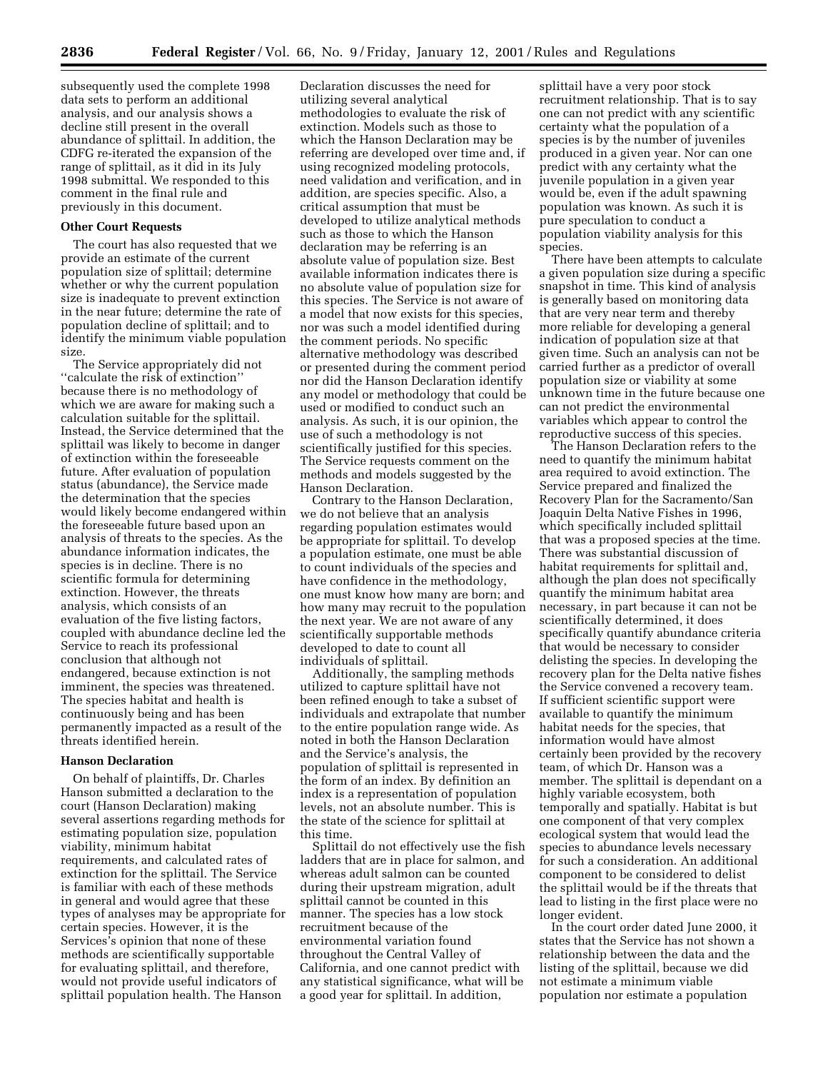subsequently used the complete 1998 data sets to perform an additional analysis, and our analysis shows a decline still present in the overall abundance of splittail. In addition, the CDFG re-iterated the expansion of the range of splittail, as it did in its July 1998 submittal. We responded to this comment in the final rule and previously in this document.

### **Other Court Requests**

The court has also requested that we provide an estimate of the current population size of splittail; determine whether or why the current population size is inadequate to prevent extinction in the near future; determine the rate of population decline of splittail; and to identify the minimum viable population size.

The Service appropriately did not ''calculate the risk of extinction'' because there is no methodology of which we are aware for making such a calculation suitable for the splittail. Instead, the Service determined that the splittail was likely to become in danger of extinction within the foreseeable future. After evaluation of population status (abundance), the Service made the determination that the species would likely become endangered within the foreseeable future based upon an analysis of threats to the species. As the abundance information indicates, the species is in decline. There is no scientific formula for determining extinction. However, the threats analysis, which consists of an evaluation of the five listing factors, coupled with abundance decline led the Service to reach its professional conclusion that although not endangered, because extinction is not imminent, the species was threatened. The species habitat and health is continuously being and has been permanently impacted as a result of the threats identified herein.

# **Hanson Declaration**

On behalf of plaintiffs, Dr. Charles Hanson submitted a declaration to the court (Hanson Declaration) making several assertions regarding methods for estimating population size, population viability, minimum habitat requirements, and calculated rates of extinction for the splittail. The Service is familiar with each of these methods in general and would agree that these types of analyses may be appropriate for certain species. However, it is the Services's opinion that none of these methods are scientifically supportable for evaluating splittail, and therefore, would not provide useful indicators of splittail population health. The Hanson

Declaration discusses the need for utilizing several analytical methodologies to evaluate the risk of extinction. Models such as those to which the Hanson Declaration may be referring are developed over time and, if using recognized modeling protocols, need validation and verification, and in addition, are species specific. Also, a critical assumption that must be developed to utilize analytical methods such as those to which the Hanson declaration may be referring is an absolute value of population size. Best available information indicates there is no absolute value of population size for this species. The Service is not aware of a model that now exists for this species, nor was such a model identified during the comment periods. No specific alternative methodology was described or presented during the comment period nor did the Hanson Declaration identify any model or methodology that could be used or modified to conduct such an analysis. As such, it is our opinion, the use of such a methodology is not scientifically justified for this species. The Service requests comment on the methods and models suggested by the Hanson Declaration.

Contrary to the Hanson Declaration, we do not believe that an analysis regarding population estimates would be appropriate for splittail. To develop a population estimate, one must be able to count individuals of the species and have confidence in the methodology, one must know how many are born; and how many may recruit to the population the next year. We are not aware of any scientifically supportable methods developed to date to count all individuals of splittail.

Additionally, the sampling methods utilized to capture splittail have not been refined enough to take a subset of individuals and extrapolate that number to the entire population range wide. As noted in both the Hanson Declaration and the Service's analysis, the population of splittail is represented in the form of an index. By definition an index is a representation of population levels, not an absolute number. This is the state of the science for splittail at this time.

Splittail do not effectively use the fish ladders that are in place for salmon, and whereas adult salmon can be counted during their upstream migration, adult splittail cannot be counted in this manner. The species has a low stock recruitment because of the environmental variation found throughout the Central Valley of California, and one cannot predict with any statistical significance, what will be a good year for splittail. In addition,

splittail have a very poor stock recruitment relationship. That is to say one can not predict with any scientific certainty what the population of a species is by the number of juveniles produced in a given year. Nor can one predict with any certainty what the juvenile population in a given year would be, even if the adult spawning population was known. As such it is pure speculation to conduct a population viability analysis for this species.

There have been attempts to calculate a given population size during a specific snapshot in time. This kind of analysis is generally based on monitoring data that are very near term and thereby more reliable for developing a general indication of population size at that given time. Such an analysis can not be carried further as a predictor of overall population size or viability at some unknown time in the future because one can not predict the environmental variables which appear to control the reproductive success of this species.

The Hanson Declaration refers to the need to quantify the minimum habitat area required to avoid extinction. The Service prepared and finalized the Recovery Plan for the Sacramento/San Joaquin Delta Native Fishes in 1996, which specifically included splittail that was a proposed species at the time. There was substantial discussion of habitat requirements for splittail and, although the plan does not specifically quantify the minimum habitat area necessary, in part because it can not be scientifically determined, it does specifically quantify abundance criteria that would be necessary to consider delisting the species. In developing the recovery plan for the Delta native fishes the Service convened a recovery team. If sufficient scientific support were available to quantify the minimum habitat needs for the species, that information would have almost certainly been provided by the recovery team, of which Dr. Hanson was a member. The splittail is dependant on a highly variable ecosystem, both temporally and spatially. Habitat is but one component of that very complex ecological system that would lead the species to abundance levels necessary for such a consideration. An additional component to be considered to delist the splittail would be if the threats that lead to listing in the first place were no longer evident.

In the court order dated June 2000, it states that the Service has not shown a relationship between the data and the listing of the splittail, because we did not estimate a minimum viable population nor estimate a population